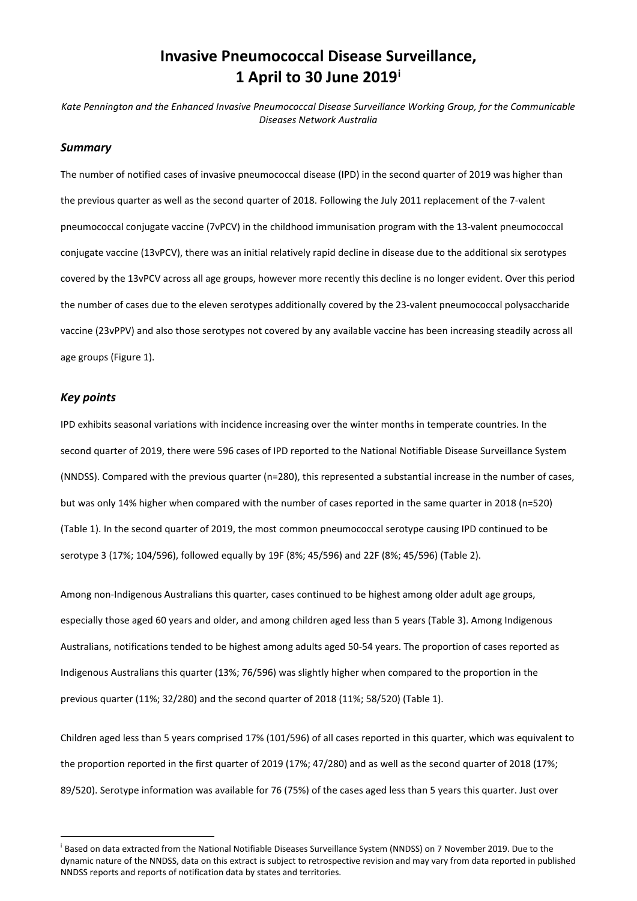# **Invasive Pneumococcal Disease Surveillance, 1 April to 30 June 2019[i](#page-0-0)**

*Kate Pennington and the Enhanced Invasive Pneumococcal Disease Surveillance Working Group, for the Communicable Diseases Network Australia*

## *Summary*

The number of notified cases of invasive pneumococcal disease (IPD) in the second quarter of 2019 was higher than the previous quarter as well as the second quarter of 2018. Following the July 2011 replacement of the 7-valent pneumococcal conjugate vaccine (7vPCV) in the childhood immunisation program with the 13-valent pneumococcal conjugate vaccine (13vPCV), there was an initial relatively rapid decline in disease due to the additional six serotypes covered by the 13vPCV across all age groups, however more recently this decline is no longer evident. Over this period the number of cases due to the eleven serotypes additionally covered by the 23-valent pneumococcal polysaccharide vaccine (23vPPV) and also those serotypes not covered by any available vaccine has been increasing steadily across all age groups [\(Figure 1\)](#page-2-0).

## *Key points*

IPD exhibits seasonal variations with incidence increasing over the winter months in temperate countries. In the second quarter of 2019, there were 596 cases of IPD reported to the National Notifiable Disease Surveillance System (NNDSS). Compared with the previous quarter (n=280), this represented a substantial increase in the number of cases, but was only 14% higher when compared with the number of cases reported in the same quarter in 2018 (n=520) [\(Table 1\)](#page-2-1). In the second quarter of 2019, the most common pneumococcal serotype causing IPD continued to be serotype 3 (17%; 104/596), followed equally by 19F (8%; 45/596) and 22F (8%; 45/596) [\(Table](#page-3-0) 2).

Among non-Indigenous Australians this quarter, cases continued to be highest among older adult age groups, especially those aged 60 years and older, and among children aged less than 5 years [\(Table](#page-4-0) 3). Among Indigenous Australians, notifications tended to be highest among adults aged 50-54 years. The proportion of cases reported as Indigenous Australians this quarter (13%; 76/596) was slightly higher when compared to the proportion in the previous quarter (11%; 32/280) and the second quarter of 2018 (11%; 58/520) [\(Table 1\)](#page-2-1).

Children aged less than 5 years comprised 17% (101/596) of all cases reported in this quarter, which was equivalent to the proportion reported in the first quarter of 2019 (17%; 47/280) and as well as the second quarter of 2018 (17%; 89/520). Serotype information was available for 76 (75%) of the cases aged less than 5 years this quarter. Just over

<span id="page-0-0"></span><sup>&</sup>lt;sup>i</sup> Based on data extracted from the National Notifiable Diseases Surveillance System (NNDSS) on 7 November 2019. Due to the dynamic nature of the NNDSS, data on this extract is subject to retrospective revision and may vary from data reported in published NNDSS reports and reports of notification data by states and territories.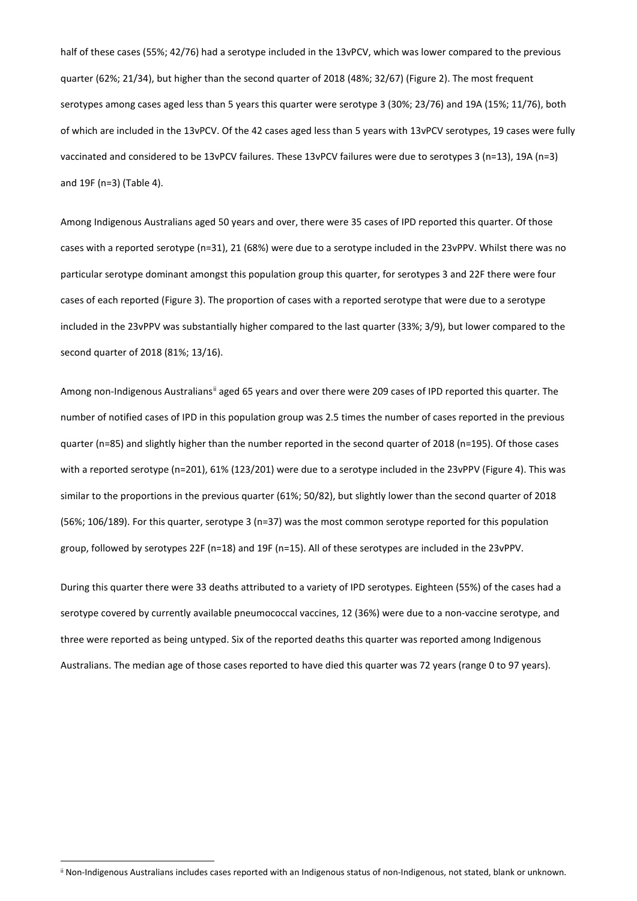half of these cases (55%; 42/76) had a serotype included in the 13vPCV, which was lower compared to the previous quarter (62%; 21/34), but higher than the second quarter of 2018 (48%; 32/67) [\(Figure 2\)](#page-4-1). The most frequent serotypes among cases aged less than 5 years this quarter were serotype 3 (30%; 23/76) and 19A (15%; 11/76), both of which are included in the 13vPCV. Of the 42 cases aged less than 5 years with 13vPCV serotypes, 19 cases were fully vaccinated and considered to be 13vPCV failures. These 13vPCV failures were due to serotypes 3 (n=13), 19A (n=3) and 19F (n=3) [\(Table 4\)](#page-5-0).

Among Indigenous Australians aged 50 years and over, there were 35 cases of IPD reported this quarter. Of those cases with a reported serotype (n=31), 21 (68%) were due to a serotype included in the 23vPPV. Whilst there was no particular serotype dominant amongst this population group this quarter, for serotypes 3 and 22F there were four cases of each reported [\(Figure 3\)](#page-5-1). The proportion of cases with a reported serotype that were due to a serotype included in the 23vPPV was substantially higher compared to the last quarter (33%; 3/9), but lower compared to the second quarter of 2018 (81%; 13/16).

Among non-Indigenous Australians<sup>[ii](#page-1-0)</sup> aged 65 years and over there were 209 cases of IPD reported this quarter. The number of notified cases of IPD in this population group was 2.5 times the number of cases reported in the previous quarter (n=85) and slightly higher than the number reported in the second quarter of 2018 (n=195). Of those cases with a reported serotype (n=201), 61% (123/201) were due to a serotype included in the 23vPPV [\(Figure](#page-6-0) 4). This was similar to the proportions in the previous quarter (61%; 50/82), but slightly lower than the second quarter of 2018 (56%; 106/189). For this quarter, serotype 3 (n=37) was the most common serotype reported for this population group, followed by serotypes 22F (n=18) and 19F (n=15). All of these serotypes are included in the 23vPPV.

During this quarter there were 33 deaths attributed to a variety of IPD serotypes. Eighteen (55%) of the cases had a serotype covered by currently available pneumococcal vaccines, 12 (36%) were due to a non-vaccine serotype, and three were reported as being untyped. Six of the reported deaths this quarter was reported among Indigenous Australians. The median age of those cases reported to have died this quarter was 72 years (range 0 to 97 years).

<span id="page-1-0"></span>ii Non-Indigenous Australians includes cases reported with an Indigenous status of non-Indigenous, not stated, blank or unknown.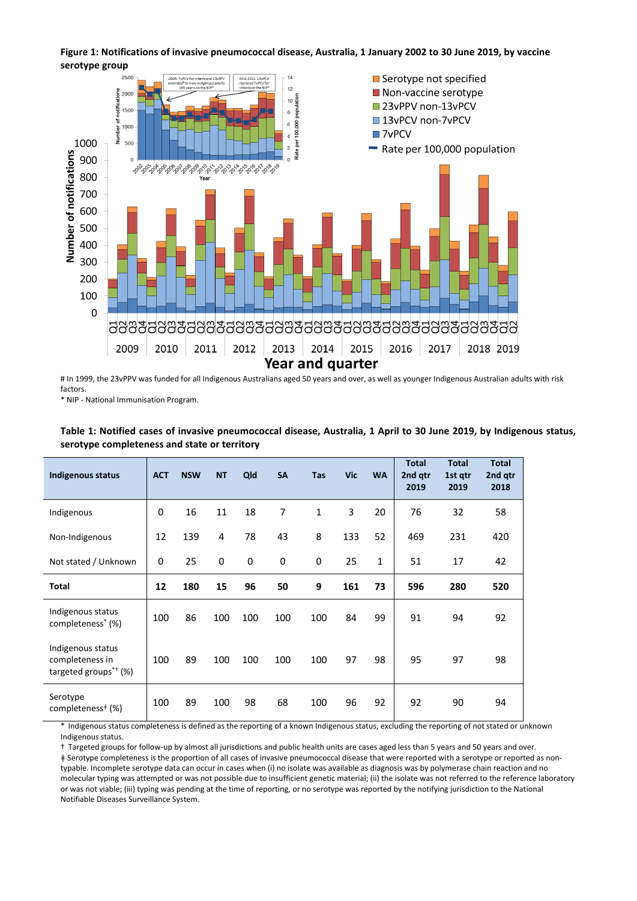# <span id="page-2-0"></span>**Figure 1: Notifications of invasive pneumococcal disease, Australia, 1 January 2002 to 30 June 2019, by vaccine serotype group**



# In 1999, the 23vPPV was funded for all Indigenous Australians aged 50 years and over, as well as younger Indigenous Australian adults with risk factors.

\* NIP - National Immunisation Program.

| <b>Indigenous status</b>                                                               | <b>ACT</b> | <b>NSW</b> | <b>NT</b> | Qld         | <b>SA</b> | <b>Tas</b> | <b>Vic</b> | <b>WA</b>    | <b>Total</b><br>2nd gtr<br>2019 | <b>Total</b><br>1st gtr<br>2019 | <b>Total</b><br>2nd gtr<br>2018 |
|----------------------------------------------------------------------------------------|------------|------------|-----------|-------------|-----------|------------|------------|--------------|---------------------------------|---------------------------------|---------------------------------|
| Indigenous                                                                             | 0          | 16         | 11        | 18          | 7         | 1          | 3          | 20           | 76                              | 32                              | 58                              |
| Non-Indigenous                                                                         | 12         | 139        | 4         | 78          | 43        | 8          | 133        | 52           | 469                             | 231                             | 420                             |
| Not stated / Unknown                                                                   | 0          | 25         | 0         | $\mathbf 0$ | $\pmb{0}$ | 0          | 25         | $\mathbf{1}$ | 51                              | 17                              | 42                              |
| <b>Total</b>                                                                           | 12         | 180        | 15        | 96          | 50        | 9          | 161        | 73           | 596                             | 280                             | 520                             |
| Indigenous status<br>completeness <sup>*</sup> (%)                                     | 100        | 86         | 100       | 100         | 100       | 100        | 84         | 99           | 91                              | 94                              | 92                              |
| Indigenous status<br>completeness in<br>targeted groups <sup><math>*</math>†</sup> (%) | 100        | 89         | 100       | 100         | 100       | 100        | 97         | 98           | 95                              | 97                              | 98                              |
| Serotype<br>completeness <sup>#</sup> (%)                                              | 100        | 89         | 100       | 98          | 68        | 100        | 96         | 92           | 92                              | 90                              | 94                              |

## <span id="page-2-1"></span>**Table 1: Notified cases of invasive pneumococcal disease, Australia, 1 April to 30 June 2019, by Indigenous status, serotype completeness and state or territory**

\* Indigenous status completeness is defined as the reporting of a known Indigenous status, excluding the reporting of not stated or unknown Indigenous status.

† Targeted groups for follow-up by almost all jurisdictions and public health units are cases aged less than 5 years and 50 years and over. ǂ Serotype completeness is the proportion of all cases of invasive pneumococcal disease that were reported with a serotype or reported as nontypable. Incomplete serotype data can occur in cases when (i) no isolate was available as diagnosis was by polymerase chain reaction and no molecular typing was attempted or was not possible due to insufficient genetic material; (ii) the isolate was not referred to the reference laboratory or was not viable; (iii) typing was pending at the time of reporting, or no serotype was reported by the notifying jurisdiction to the National Notifiable Diseases Surveillance System.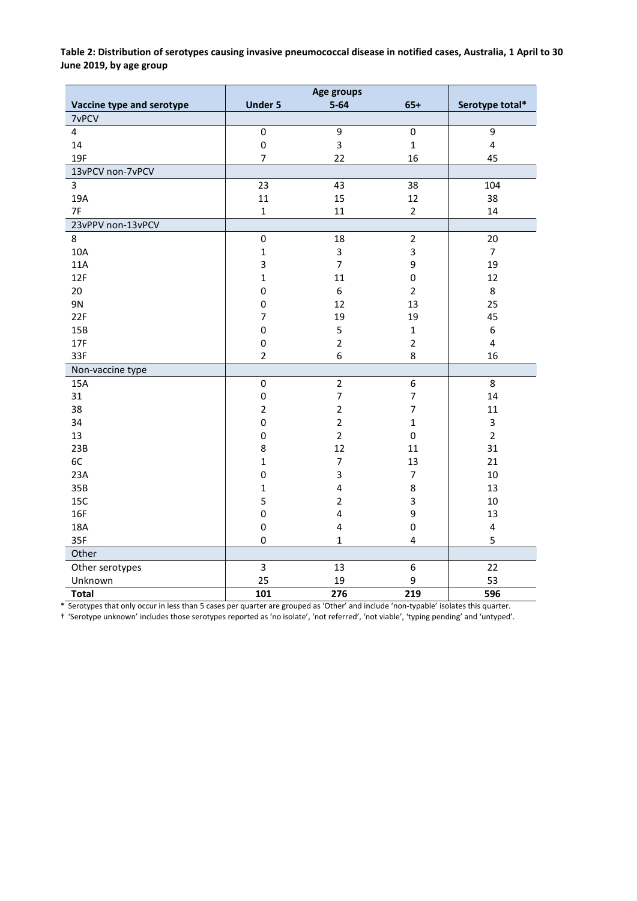<span id="page-3-0"></span>**Table 2: Distribution of serotypes causing invasive pneumococcal disease in notified cases, Australia, 1 April to 30 June 2019, by age group**

| Vaccine type and serotype | <b>Under 5</b> | $5 - 64$                | $65+$                   | Serotype total*         |
|---------------------------|----------------|-------------------------|-------------------------|-------------------------|
| 7vPCV                     |                |                         |                         |                         |
| $\overline{4}$            | $\pmb{0}$      | 9                       | $\pmb{0}$               | 9                       |
| 14                        | $\mathbf 0$    | 3                       | $\mathbf{1}$            | $\overline{\mathbf{4}}$ |
| 19F                       | $\overline{7}$ | 22                      | 16                      | 45                      |
| 13vPCV non-7vPCV          |                |                         |                         |                         |
| $\overline{3}$            | 23             | 43                      | 38                      | 104                     |
| 19A                       | 11             | 15                      | 12                      | 38                      |
| 7F                        | $\mathbf{1}$   | 11                      | $\overline{2}$          | 14                      |
| 23vPPV non-13vPCV         |                |                         |                         |                         |
| 8                         | $\pmb{0}$      | 18                      | $\overline{2}$          | 20                      |
| 10A                       | $\mathbf{1}$   | $\mathbf{3}$            | $\overline{\mathbf{3}}$ | $\overline{7}$          |
| 11A                       | 3              | $\overline{7}$          | 9                       | 19                      |
| 12F                       | $\mathbf 1$    | 11                      | $\mathsf{O}\xspace$     | 12                      |
| 20                        | 0              | $\boldsymbol{6}$        | $\overline{2}$          | 8                       |
| 9N                        | 0              | 12                      | 13                      | 25                      |
| 22F                       | $\overline{7}$ | 19                      | 19                      | 45                      |
| 15B                       | 0              | 5                       | $\mathbf 1$             | 6                       |
| 17F                       | $\mathsf 0$    | $\overline{2}$          | $\mathbf 2$             | $\overline{\mathbf{4}}$ |
| 33F                       | $\overline{2}$ | 6                       | 8                       | 16                      |
| Non-vaccine type          |                |                         |                         |                         |
| 15A                       | $\mathbf 0$    | $\overline{2}$          | $\boldsymbol{6}$        | 8                       |
| 31                        | $\pmb{0}$      | $\overline{7}$          | $\overline{7}$          | 14                      |
| 38                        | $\mathbf 2$    | $\overline{2}$          | $\overline{7}$          | 11                      |
| 34                        | $\mathbf 0$    | $\overline{2}$          | $\mathbf 1$             | 3                       |
| 13                        | $\mathbf 0$    | $\overline{2}$          | $\pmb{0}$               | $\overline{2}$          |
| 23B                       | 8              | 12                      | 11                      | 31                      |
| 6C                        | $\mathbf{1}$   | $\overline{7}$          | 13                      | 21                      |
| 23A                       | 0              | 3                       | $\overline{7}$          | 10                      |
| 35B                       | $\mathbf{1}$   | $\overline{\mathbf{4}}$ | 8                       | 13                      |
| 15C                       | 5              | $\overline{2}$          | 3                       | 10                      |
| 16F                       | $\mathsf 0$    | $\overline{\mathbf{4}}$ | 9                       | 13                      |
| 18A                       | $\pmb{0}$      | 4                       | $\pmb{0}$               | $\pmb{4}$               |
| 35F                       | $\mathsf 0$    | $\mathbf{1}$            | $\pmb{4}$               | 5                       |
| Other                     |                |                         |                         |                         |
| Other serotypes           | $\overline{3}$ | 13                      | 6                       | 22                      |
| Unknown                   | 25             | 19                      | 9                       | 53                      |
| <b>Total</b>              | 101            | 276                     | 219                     | 596                     |

\* Serotypes that only occur in less than 5 cases per quarter are grouped as 'Other' and include 'non-typable' isolates this quarter.

† 'Serotype unknown' includes those serotypes reported as 'no isolate', 'not referred', 'not viable', 'typing pending' and 'untyped'.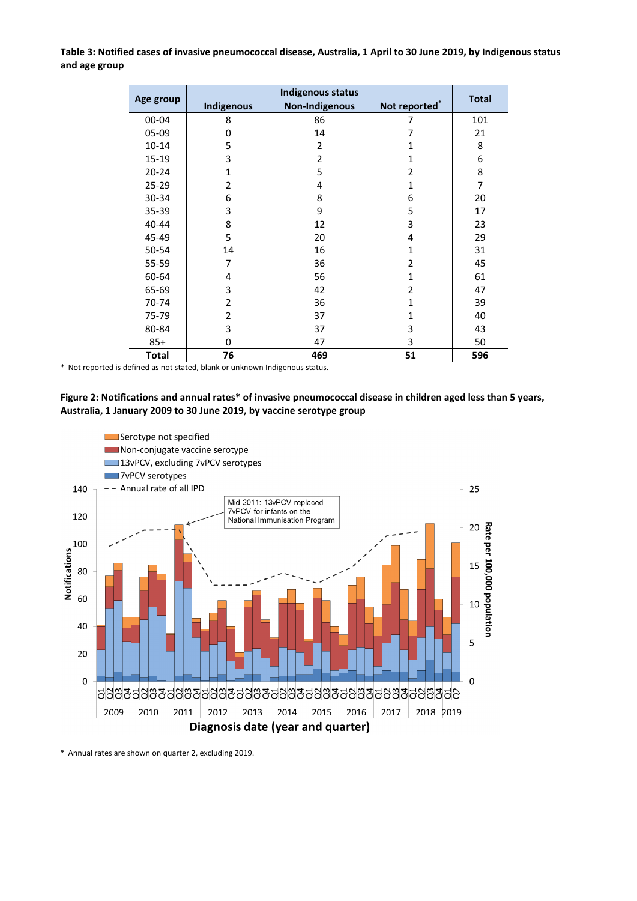<span id="page-4-0"></span>**Table 3: Notified cases of invasive pneumococcal disease, Australia, 1 April to 30 June 2019, by Indigenous status and age group**

|              |                | Indigenous status     |               |     |
|--------------|----------------|-----------------------|---------------|-----|
| Age group    | Indigenous     | <b>Total</b>          |               |     |
|              |                | <b>Non-Indigenous</b> | Not reported* |     |
| 00-04        | 8              | 86                    | 7             | 101 |
| 05-09        | 0              | 14                    | 7             | 21  |
| $10 - 14$    | 5              | $\overline{2}$        | 1             | 8   |
| 15-19        | 3              | $\overline{2}$        | 1             | 6   |
| $20 - 24$    | $\mathbf{1}$   | 5                     | 2             | 8   |
| $25 - 29$    | $\overline{2}$ | 4                     | 1             | 7   |
| 30-34        | 6              | 8                     | 6             | 20  |
| 35-39        | 3              | 9                     | 5             | 17  |
| 40-44        | 8              | 12                    | 3             | 23  |
| 45-49        | 5              | 20                    | 4             | 29  |
| 50-54        | 14             | 16                    | $\mathbf{1}$  | 31  |
| 55-59        | 7              | 36                    | 2             | 45  |
| 60-64        | 4              | 56                    | 1             | 61  |
| 65-69        | 3              | 42                    | 2             | 47  |
| 70-74        | $\overline{2}$ | 36                    | $\mathbf{1}$  | 39  |
| 75-79        | 2              | 37                    | 1             | 40  |
| 80-84        | 3              | 37                    | 3             | 43  |
| $85+$        | $\Omega$       | 47                    | 3             | 50  |
| <b>Total</b> | 76             | 469                   | 51            | 596 |

\* Not reported is defined as not stated, blank or unknown Indigenous status.

## <span id="page-4-1"></span>**Figure 2: Notifications and annual rates\* of invasive pneumococcal disease in children aged less than 5 years, Australia, 1 January 2009 to 30 June 2019, by vaccine serotype group**



\* Annual rates are shown on quarter 2, excluding 2019.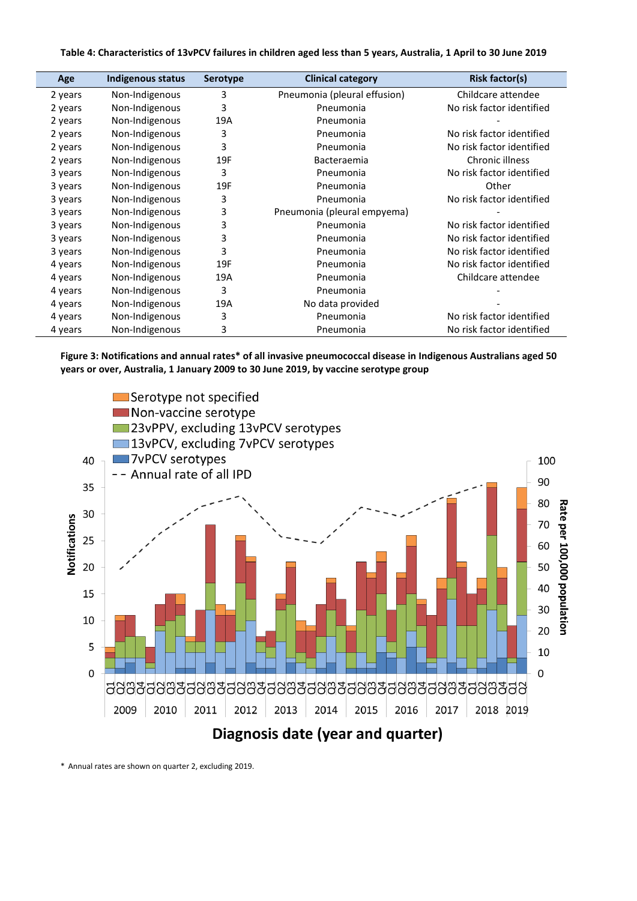#### <span id="page-5-0"></span>**Table 4: Characteristics of 13vPCV failures in children aged less than 5 years, Australia, 1 April to 30 June 2019**

| Age     | Indigenous status | <b>Serotype</b> | <b>Clinical category</b>     | <b>Risk factor(s)</b>     |
|---------|-------------------|-----------------|------------------------------|---------------------------|
| 2 years | Non-Indigenous    | 3               | Pneumonia (pleural effusion) | Childcare attendee        |
| 2 years | Non-Indigenous    | 3               | Pneumonia                    | No risk factor identified |
| 2 years | Non-Indigenous    | 19A             | Pneumonia                    |                           |
| 2 years | Non-Indigenous    | 3               | Pneumonia                    | No risk factor identified |
| 2 years | Non-Indigenous    | 3               | Pneumonia                    | No risk factor identified |
| 2 years | Non-Indigenous    | 19F             | Bacteraemia                  | Chronic illness           |
| 3 years | Non-Indigenous    | 3               | Pneumonia                    | No risk factor identified |
| 3 years | Non-Indigenous    | 19F             | Pneumonia                    | Other                     |
| 3 years | Non-Indigenous    | 3               | Pneumonia                    | No risk factor identified |
| 3 years | Non-Indigenous    | 3               | Pneumonia (pleural empyema)  |                           |
| 3 years | Non-Indigenous    | 3               | Pneumonia                    | No risk factor identified |
| 3 years | Non-Indigenous    | 3               | Pneumonia                    | No risk factor identified |
| 3 years | Non-Indigenous    | 3               | Pneumonia                    | No risk factor identified |
| 4 years | Non-Indigenous    | 19F             | Pneumonia                    | No risk factor identified |
| 4 years | Non-Indigenous    | 19A             | Pneumonia                    | Childcare attendee        |
| 4 years | Non-Indigenous    | 3               | Pneumonia                    |                           |
| 4 years | Non-Indigenous    | 19A             | No data provided             |                           |
| 4 years | Non-Indigenous    | 3               | Pneumonia                    | No risk factor identified |
| 4 years | Non-Indigenous    | 3               | Pneumonia                    | No risk factor identified |

<span id="page-5-1"></span>**Figure 3: Notifications and annual rates\* of all invasive pneumococcal disease in Indigenous Australians aged 50 years or over, Australia, 1 January 2009 to 30 June 2019, by vaccine serotype group**



\* Annual rates are shown on quarter 2, excluding 2019.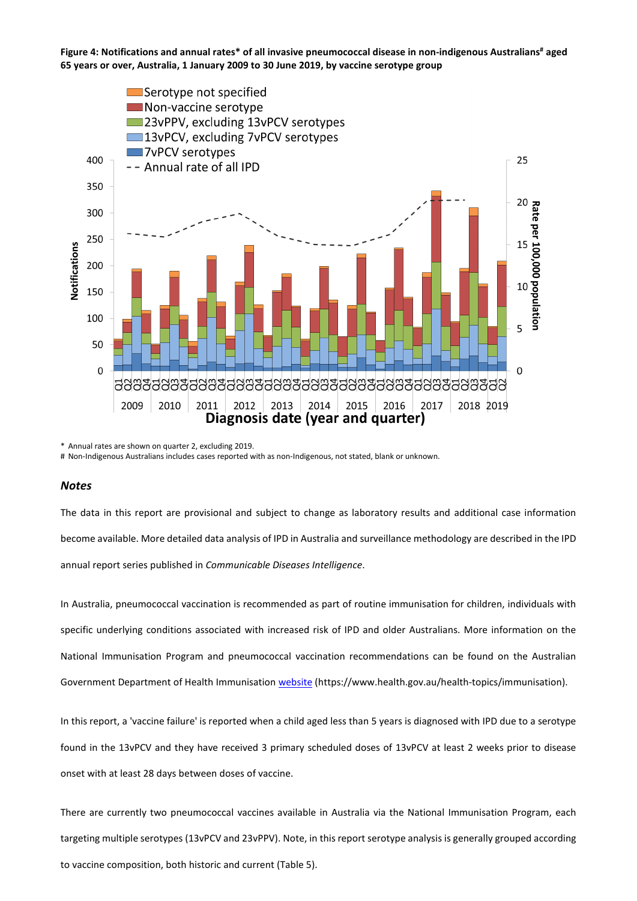<span id="page-6-0"></span>**Figure 4: Notifications and annual rates\* of all invasive pneumococcal disease in non-indigenous Australians# aged 65 years or over, Australia, 1 January 2009 to 30 June 2019, by vaccine serotype group**



\* Annual rates are shown on quarter 2, excluding 2019.

# Non-Indigenous Australians includes cases reported with as non-Indigenous, not stated, blank or unknown.

#### *Notes*

The data in this report are provisional and subject to change as laboratory results and additional case information become available. More detailed data analysis of IPD in Australia and surveillance methodology are described in the IPD annual report series published in *Communicable Diseases Intelligence*.

In Australia, pneumococcal vaccination is recommended as part of routine immunisation for children, individuals with specific underlying conditions associated with increased risk of IPD and older Australians. More information on the National Immunisation Program and pneumococcal vaccination recommendations can be found on the Australian Government Department of Health Immunisation [website](https://www.health.gov.au/health-topics/immunisation) (https://www.health.gov.au/health-topics/immunisation).

In this report, a 'vaccine failure' is reported when a child aged less than 5 years is diagnosed with IPD due to a serotype found in the 13vPCV and they have received 3 primary scheduled doses of 13vPCV at least 2 weeks prior to disease onset with at least 28 days between doses of vaccine.

There are currently two pneumococcal vaccines available in Australia via the National Immunisation Program, each targeting multiple serotypes (13vPCV and 23vPPV). Note, in this report serotype analysis is generally grouped according to vaccine composition, both historic and current (Table 5).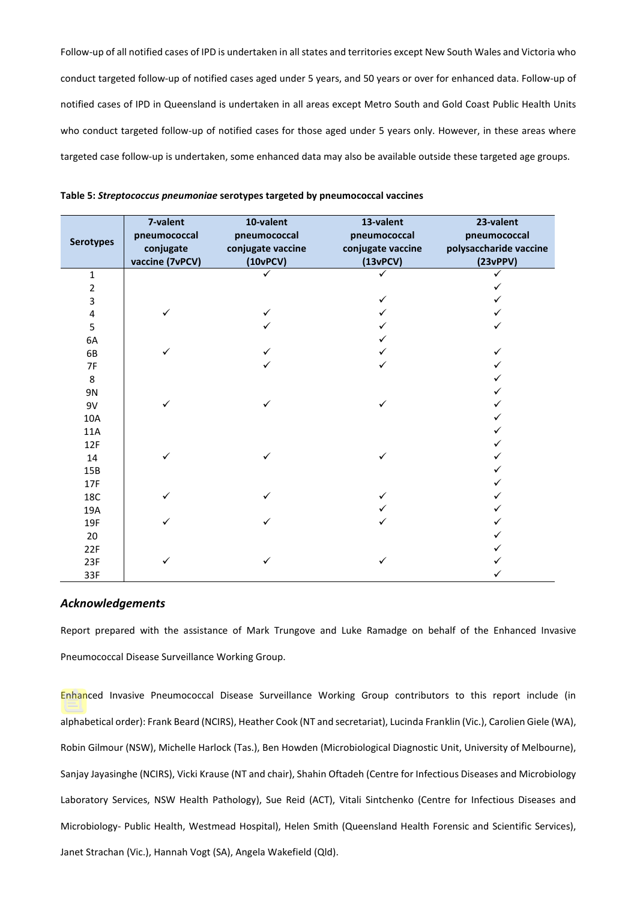Follow-up of all notified cases of IPD is undertaken in all states and territories except New South Wales and Victoria who conduct targeted follow-up of notified cases aged under 5 years, and 50 years or over for enhanced data. Follow-up of notified cases of IPD in Queensland is undertaken in all areas except Metro South and Gold Coast Public Health Units who conduct targeted follow-up of notified cases for those aged under 5 years only. However, in these areas where targeted case follow-up is undertaken, some enhanced data may also be available outside these targeted age groups.

| <b>Serotypes</b> | 7-valent<br>pneumococcal<br>conjugate<br>vaccine (7vPCV) | 10-valent<br>pneumococcal<br>conjugate vaccine<br>(10vPCV) | 13-valent<br>pneumococcal<br>conjugate vaccine<br>(13vPCV) | 23-valent<br>pneumococcal<br>polysaccharide vaccine<br>(23vPPV) |
|------------------|----------------------------------------------------------|------------------------------------------------------------|------------------------------------------------------------|-----------------------------------------------------------------|
| $\mathbf{1}$     |                                                          |                                                            |                                                            |                                                                 |
| $\overline{2}$   |                                                          |                                                            |                                                            |                                                                 |
| 3                |                                                          |                                                            | ✓                                                          |                                                                 |
| $\pmb{4}$        |                                                          |                                                            |                                                            |                                                                 |
| 5                |                                                          |                                                            |                                                            |                                                                 |
| 6A               |                                                          |                                                            |                                                            |                                                                 |
| 6B               |                                                          |                                                            |                                                            |                                                                 |
| 7F               |                                                          |                                                            |                                                            |                                                                 |
| 8                |                                                          |                                                            |                                                            |                                                                 |
| 9N               |                                                          |                                                            |                                                            |                                                                 |
| 9V               |                                                          | ✓                                                          | ✓                                                          |                                                                 |
| 10A              |                                                          |                                                            |                                                            |                                                                 |
| 11A              |                                                          |                                                            |                                                            |                                                                 |
| 12F              |                                                          |                                                            |                                                            |                                                                 |
| 14               |                                                          |                                                            | ✓                                                          |                                                                 |
| 15B              |                                                          |                                                            |                                                            |                                                                 |
| 17F              |                                                          |                                                            |                                                            |                                                                 |
| 18C              |                                                          |                                                            | ✓                                                          |                                                                 |
| 19A              |                                                          |                                                            |                                                            |                                                                 |
| 19F              |                                                          |                                                            |                                                            |                                                                 |
| 20               |                                                          |                                                            |                                                            |                                                                 |
| 22F              |                                                          |                                                            |                                                            |                                                                 |
| 23F              |                                                          |                                                            |                                                            |                                                                 |
| 33F              |                                                          |                                                            |                                                            |                                                                 |

**Table 5:** *Streptococcus pneumoniae* **serotypes targeted by pneumococcal vaccines**

#### *Acknowledgements*

Report prepared with the assistance of Mark Trungove and Luke Ramadge on behalf of the Enhanced Invasive Pneumococcal Disease Surveillance Working Group.

Enhanced Invasive Pneumococcal Disease Surveillance Working Group contributors to this report include (in alphabetical order): Frank Beard (NCIRS), Heather Cook (NT and secretariat), Lucinda Franklin (Vic.), Carolien Giele (WA), Robin Gilmour (NSW), Michelle Harlock (Tas.), Ben Howden (Microbiological Diagnostic Unit, University of Melbourne), Sanjay Jayasinghe (NCIRS), Vicki Krause (NT and chair), Shahin Oftadeh (Centre for Infectious Diseases and Microbiology Laboratory Services, NSW Health Pathology), Sue Reid (ACT), Vitali Sintchenko (Centre for Infectious Diseases and Microbiology- Public Health, Westmead Hospital), Helen Smith (Queensland Health Forensic and Scientific Services), Janet Strachan (Vic.), Hannah Vogt (SA), Angela Wakefield (Qld).